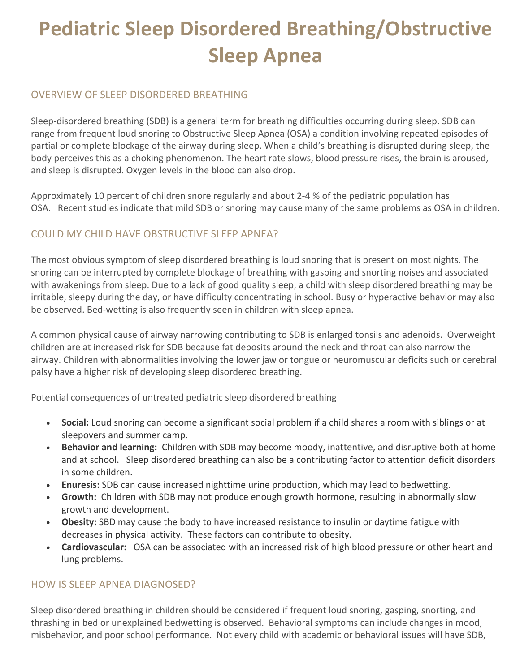# **Pediatric Sleep Disordered Breathing/Obstructive Sleep Apnea**

#### OVERVIEW OF SLEEP DISORDERED BREATHING

Sleep-disordered breathing (SDB) is a general term for breathing difficulties occurring during sleep. SDB can range from frequent loud snoring to Obstructive Sleep Apnea (OSA) a condition involving repeated episodes of partial or complete blockage of the airway during sleep. When a child's breathing is disrupted during sleep, the body perceives this as a choking phenomenon. The heart rate slows, blood pressure rises, the brain is aroused, and sleep is disrupted. Oxygen levels in the blood can also drop.

Approximately 10 percent of children snore regularly and about 2-4 % of the pediatric population has OSA. Recent studies indicate that mild SDB or snoring may cause many of the same problems as OSA in children.

## COULD MY CHILD HAVE OBSTRUCTIVE SLEEP APNEA?

The most obvious symptom of sleep disordered breathing is loud snoring that is present on most nights. The snoring can be interrupted by complete blockage of breathing with gasping and snorting noises and associated with awakenings from sleep. Due to a lack of good quality sleep, a child with sleep disordered breathing may be irritable, sleepy during the day, or have difficulty concentrating in school. Busy or hyperactive behavior may also be observed. Bed-wetting is also frequently seen in children with sleep apnea.

A common physical cause of airway narrowing contributing to SDB is enlarged tonsils and adenoids. Overweight children are at increased risk for SDB because fat deposits around the neck and throat can also narrow the airway. Children with abnormalities involving the lower jaw or tongue or neuromuscular deficits such or cerebral palsy have a higher risk of developing sleep disordered breathing.

Potential consequences of untreated pediatric sleep disordered breathing

- **Social:** Loud snoring can become a significant social problem if a child shares a room with siblings or at sleepovers and summer camp.
- **Behavior and learning:** Children with SDB may become moody, inattentive, and disruptive both at home and at school. Sleep disordered breathing can also be a contributing factor to attention deficit disorders in some children.
- **Enuresis:** SDB can cause increased nighttime urine production, which may lead to bedwetting.
- **Growth:** Children with SDB may not produce enough growth hormone, resulting in abnormally slow growth and development.
- **Obesity:** SBD may cause the body to have increased resistance to insulin or daytime fatigue with decreases in physical activity. These factors can contribute to obesity.
- **Cardiovascular:** OSA can be associated with an increased risk of high blood pressure or other heart and lung problems.

### HOW IS SLEEP APNEA DIAGNOSED?

Sleep disordered breathing in children should be considered if frequent loud snoring, gasping, snorting, and thrashing in bed or unexplained bedwetting is observed. Behavioral symptoms can include changes in mood, misbehavior, and poor school performance. Not every child with academic or behavioral issues will have SDB,